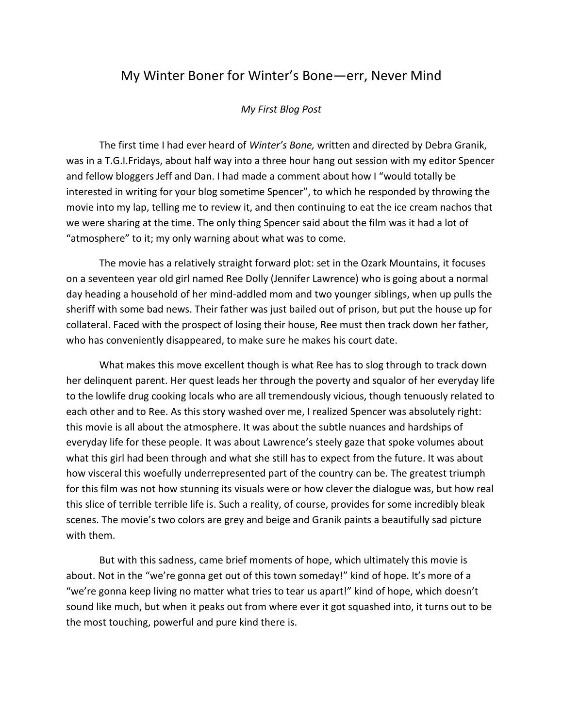## My Winter Boner for Winter's Bone—err, Never Mind

## *My First Blog Post*

The first time I had ever heard of *Winter's Bone,* written and directed by Debra Granik, was in a T.G.I.Fridays, about half way into a three hour hang out session with my editor Spencer and fellow bloggers Jeff and Dan. I had made a comment about how I "would totally be interested in writing for your blog sometime Spencer", to which he responded by throwing the movie into my lap, telling me to review it, and then continuing to eat the ice cream nachos that we were sharing at the time. The only thing Spencer said about the film was it had a lot of "atmosphere" to it; my only warning about what was to come.

The movie has a relatively straight forward plot: set in the Ozark Mountains, it focuses on a seventeen year old girl named Ree Dolly (Jennifer Lawrence) who is going about a normal day heading a household of her mind-addled mom and two younger siblings, when up pulls the sheriff with some bad news. Their father was just bailed out of prison, but put the house up for collateral. Faced with the prospect of losing their house, Ree must then track down her father, who has conveniently disappeared, to make sure he makes his court date.

What makes this move excellent though is what Ree has to slog through to track down her delinquent parent. Her quest leads her through the poverty and squalor of her everyday life to the lowlife drug cooking locals who are all tremendously vicious, though tenuously related to each other and to Ree. As this story washed over me, I realized Spencer was absolutely right: this movie is all about the atmosphere. It was about the subtle nuances and hardships of everyday life for these people. It was about Lawrence's steely gaze that spoke volumes about what this girl had been through and what she still has to expect from the future. It was about how visceral this woefully underrepresented part of the country can be. The greatest triumph for this film was not how stunning its visuals were or how clever the dialogue was, but how real this slice of terrible terrible life is. Such a reality, of course, provides for some incredibly bleak scenes. The movie's two colors are grey and beige and Granik paints a beautifully sad picture with them.

But with this sadness, came brief moments of hope, which ultimately this movie is about. Not in the "we're gonna get out of this town someday!" kind of hope. It's more of a "we're gonna keep living no matter what tries to tear us apart!" kind of hope, which doesn't sound like much, but when it peaks out from where ever it got squashed into, it turns out to be the most touching, powerful and pure kind there is.